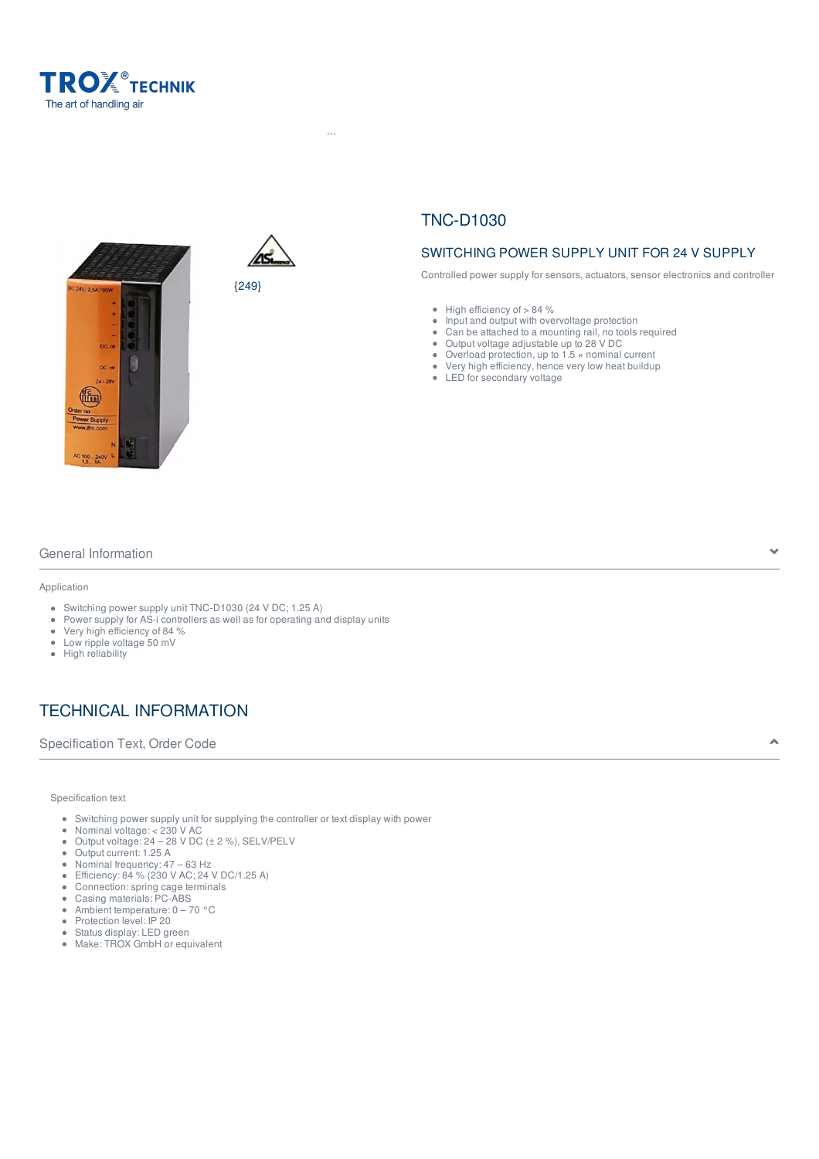





# TNC-D1030

 $H^2$  -Products  $\mathcal{F}^2$  and  $\mathcal{F}^2$  -Protection ...  $\mathcal{F}^2$  -Troxinetic  $\mathcal{F}^2$  -Troxinetic power supply units  $\mathcal{F}^2$  -Troxinetic power supply units assumption ...

# SWITCHING POWER SUPPLY UNIT FOR 24 V SUPPLY

Controlled power supply for sensors, actuators, sensor electronics and controller

- $\bullet$  High efficiency of  $> 84$  %
- Input and output with overvoltage protection  $\bullet$
- Can be attached to a mounting rail, no tools required  $\ddot{\phantom{a}}$
- $\ddot{\phantom{a}}$ Output voltage adjustable up to 28 V DC
- $\bullet$  Overload protection, up to 1.5  $\times$  nominal current
- $\bullet$ Very high efficiency, hence very low heat buildup
- LED for secondary voltage

## General Information

#### Application

- Switching power supply unit TNC-D1030 (24 V DC; 1.25 A)
- Power supply for AS-i controllers as well as for operating and display units
- Very high efficiency of 84 %
- Low ripple voltage 50 mV
- High reliability

# TECHNICAL INFORMATION

Specification Text, Order Code  $\bullet$ 

#### Specification text

- Switching power supply unit for supplying the controller or text display with power  $\hat{\mathbf{e}}$
- $\bullet$ Nominal voltage: < 230 V AC
- $\ddot{\phantom{a}}$ Output voltage: 24 – 28 V DC (± 2 %), SELV/PELV
- Output current: 1.25 A  $\bullet$
- $\bullet$ Nominal frequency: 47 – 63 Hz  $\bullet$
- Efficiency: 84 % (230 V AC; 24 V DC/1.25 A)
- Connection: spring cage terminals
- Casing materials: PC-ABS Ambient temperature: 0 – 70 °C
- Protection level: IP 20
- Status display: LED green
- Make: TROX GmbH or equivalent  $\bullet$

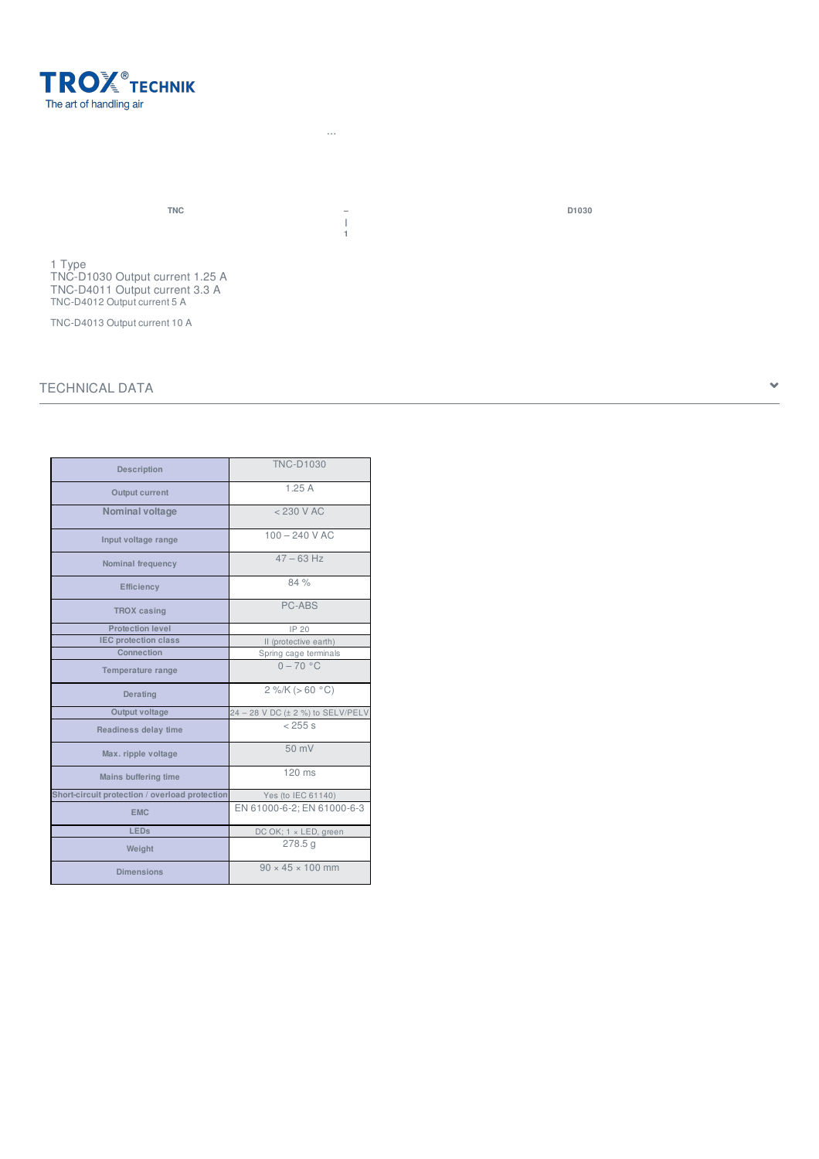

**| 1**

 $H^2$  -Products  $\mathcal{F}^2$  and  $\mathcal{F}^2$  -Protection ...  $\mathcal{F}^2$  -Troxinetic  $\mathcal{F}^2$  -Troxinetic power supply units  $\mathcal{F}^2$  -Troxinetic power supply units assumption ...

1 Type TNC-D1030 Output current 1.25 A TNC-D4011 Output current 3.3 A TNC-D4012 Output current 5 A

TNC-D4013 Output current 10 A

## TECHNICAL DATA

| Description                                    | <b>TNC-D1030</b>                  |
|------------------------------------------------|-----------------------------------|
| Output current                                 | 1.25A                             |
| <b>Nominal voltage</b>                         | $<$ 230 V AC                      |
| Input voltage range                            | $100 - 240$ V AC                  |
| Nominal frequency                              | $47 - 63$ Hz                      |
| <b>Efficiency</b>                              | 84 %                              |
| <b>TROX</b> casing                             | <b>PC-ABS</b>                     |
| Protection level                               | IP 20                             |
| <b>IEC protection class</b>                    | II (protective earth)             |
| Connection                                     | Spring cage terminals             |
| Temperature range                              | $0 - 70$ °C                       |
| Derating                                       | $2\%$ /K (> 60 °C)                |
| Output voltage                                 | 24 - 28 V DC (± 2 %) to SELV/PELV |
| Readiness delay time                           | < 255 s                           |
| Max. ripple voltage                            | $50$ mV                           |
| Mains buffering time                           | 120 ms                            |
| Short-circuit protection / overload protection | Yes (to IEC 61140)                |
| <b>EMC</b>                                     | EN 61000-6-2; EN 61000-6-3        |
| <b>LEDs</b>                                    | DC OK; 1 x LED, green             |
| Weight                                         | 278.5q                            |
| <b>Dimensions</b>                              | $90 \times 45 \times 100$ mm      |

**TNC – D1030**